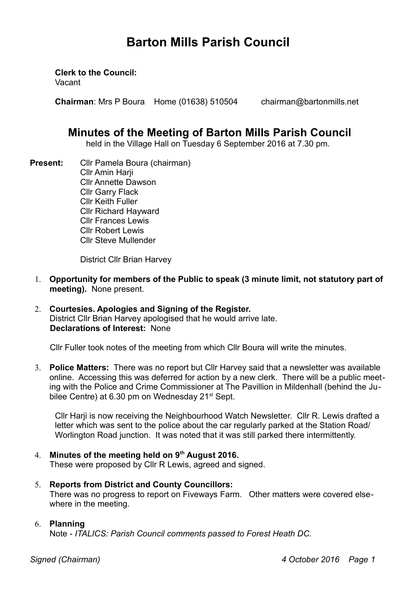# **Barton Mills Parish Council**

**Clerk to the Council:**

Vacant

**Chairman**: Mrs P Boura Home (01638) 510504 chairman@bartonmills.net

# **Minutes of the Meeting of Barton Mills Parish Council**

held in the Village Hall on Tuesday 6 September 2016 at 7.30 pm.

**Present:** Cllr Pamela Boura (chairman) Cllr Amin Harji Cllr Annette Dawson Cllr Garry Flack Cllr Keith Fuller Cllr Richard Hayward Cllr Frances Lewis Cllr Robert Lewis Cllr Steve Mullender

District Cllr Brian Harvey

- 1. **Opportunity for members of the Public to speak (3 minute limit, not statutory part of meeting).** None present.
- 2. **Courtesies. Apologies and Signing of the Register.** District Cllr Brian Harvey apologised that he would arrive late. **Declarations of Interest:** None

Cllr Fuller took notes of the meeting from which Cllr Boura will write the minutes.

3. **Police Matters:** There was no report but Cllr Harvey said that a newsletter was available online. Accessing this was deferred for action by a new clerk. There will be a public meeting with the Police and Crime Commissioner at The Pavillion in Mildenhall (behind the Jubilee Centre) at 6.30 pm on Wednesday 21<sup>st</sup> Sept.

Cllr Harji is now receiving the Neighbourhood Watch Newsletter. Cllr R. Lewis drafted a letter which was sent to the police about the car regularly parked at the Station Road/ Worlington Road junction. It was noted that it was still parked there intermittently.

# 4. **Minutes of the meeting held on 9th August 2016.**

These were proposed by Cllr R Lewis, agreed and signed.

5. **Reports from District and County Councillors:** 

There was no progress to report on Fiveways Farm. Other matters were covered elsewhere in the meeting.

# 6. **Planning**

Note - *ITALICS: Parish Council comments passed to Forest Heath DC.*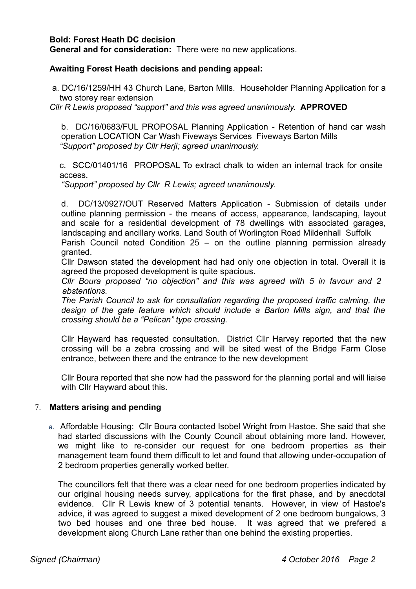### **Bold: Forest Heath DC decision**

**General and for consideration:** There were no new applications.

#### **Awaiting Forest Heath decisions and pending appeal:**

 a. DC/16/1259/HH 43 Church Lane, Barton Mills. Householder Planning Application for a two storey rear extension

*Cllr R Lewis proposed "support" and this was agreed unanimously.* **APPROVED**

b. DC/16/0683/FUL PROPOSAL Planning Application - Retention of hand car wash operation LOCATION Car Wash Fiveways Services Fiveways Barton Mills *"Support" proposed by Cllr Harji; agreed unanimously.*

c. SCC/01401/16 PROPOSAL To extract chalk to widen an internal track for onsite access.

*"Support" proposed by Cllr R Lewis; agreed unanimously.*

d. DC/13/0927/OUT Reserved Matters Application - Submission of details under outline planning permission - the means of access, appearance, landscaping, layout and scale for a residential development of 78 dwellings with associated garages, landscaping and ancillary works. Land South of Worlington Road Mildenhall Suffolk Parish Council noted Condition 25 – on the outline planning permission already granted.

Cllr Dawson stated the development had had only one objection in total. Overall it is agreed the proposed development is quite spacious.

*Cllr Boura proposed "no objection" and this was agreed with 5 in favour and 2 abstentions.*

*The Parish Council to ask for consultation regarding the proposed traffic calming, the design of the gate feature which should include a Barton Mills sign, and that the crossing should be a "Pelican" type crossing.*

Cllr Hayward has requested consultation. District Cllr Harvey reported that the new crossing will be a zebra crossing and will be sited west of the Bridge Farm Close entrance, between there and the entrance to the new development

Cllr Boura reported that she now had the password for the planning portal and will liaise with Cllr Hayward about this.

#### 7. **Matters arising and pending**

a. Affordable Housing: Cllr Boura contacted Isobel Wright from Hastoe. She said that she had started discussions with the County Council about obtaining more land. However, we might like to re-consider our request for one bedroom properties as their management team found them difficult to let and found that allowing under-occupation of 2 bedroom properties generally worked better.

The councillors felt that there was a clear need for one bedroom properties indicated by our original housing needs survey, applications for the first phase, and by anecdotal evidence. Cllr R Lewis knew of 3 potential tenants. However, in view of Hastoe's advice, it was agreed to suggest a mixed development of 2 one bedroom bungalows, 3 two bed houses and one three bed house. It was agreed that we prefered a development along Church Lane rather than one behind the existing properties.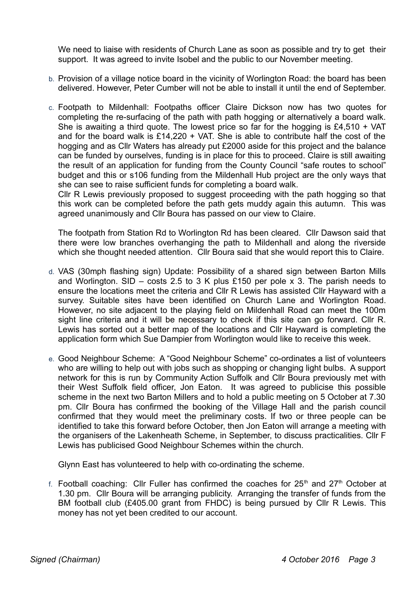We need to liaise with residents of Church Lane as soon as possible and try to get their support. It was agreed to invite Isobel and the public to our November meeting.

- b. Provision of a village notice board in the vicinity of Worlington Road: the board has been delivered. However, Peter Cumber will not be able to install it until the end of September.
- c. Footpath to Mildenhall: Footpaths officer Claire Dickson now has two quotes for completing the re-surfacing of the path with path hogging or alternatively a board walk. She is awaiting a third quote. The lowest price so far for the hogging is  $£4,510 + VAT$ and for the board walk is  $£14,220 + VA$ . She is able to contribute half the cost of the hogging and as Cllr Waters has already put £2000 aside for this project and the balance can be funded by ourselves, funding is in place for this to proceed. Claire is still awaiting the result of an application for funding from the County Council "safe routes to school" budget and this or s106 funding from the Mildenhall Hub project are the only ways that she can see to raise sufficient funds for completing a board walk.

Cllr R Lewis previously proposed to suggest proceeding with the path hogging so that this work can be completed before the path gets muddy again this autumn. This was agreed unanimously and Cllr Boura has passed on our view to Claire.

The footpath from Station Rd to Worlington Rd has been cleared. Cllr Dawson said that there were low branches overhanging the path to Mildenhall and along the riverside which she thought needed attention. Cllr Boura said that she would report this to Claire.

- d. VAS (30mph flashing sign) Update: Possibility of a shared sign between Barton Mills and Worlington. SID – costs 2.5 to 3 K plus £150 per pole x 3. The parish needs to ensure the locations meet the criteria and Cllr R Lewis has assisted Cllr Hayward with a survey. Suitable sites have been identified on Church Lane and Worlington Road. However, no site adjacent to the playing field on Mildenhall Road can meet the 100m sight line criteria and it will be necessary to check if this site can go forward. Cllr R. Lewis has sorted out a better map of the locations and Cllr Hayward is completing the application form which Sue Dampier from Worlington would like to receive this week.
- e. Good Neighbour Scheme: A "Good Neighbour Scheme" co-ordinates a list of volunteers who are willing to help out with jobs such as shopping or changing light bulbs. A support network for this is run by Community Action Suffolk and Cllr Boura previously met with their West Suffolk field officer, Jon Eaton. It was agreed to publicise this possible scheme in the next two Barton Millers and to hold a public meeting on 5 October at 7.30 pm. Cllr Boura has confirmed the booking of the Village Hall and the parish council confirmed that they would meet the preliminary costs. If two or three people can be identified to take this forward before October, then Jon Eaton will arrange a meeting with the organisers of the Lakenheath Scheme, in September, to discuss practicalities. Cllr F Lewis has publicised Good Neighbour Schemes within the church.

Glynn East has volunteered to help with co-ordinating the scheme.

f. Football coaching: Cllr Fuller has confirmed the coaches for  $25<sup>th</sup>$  and  $27<sup>th</sup>$  October at 1.30 pm. Cllr Boura will be arranging publicity. Arranging the transfer of funds from the BM football club (£405.00 grant from FHDC) is being pursued by Cllr R Lewis. This money has not yet been credited to our account.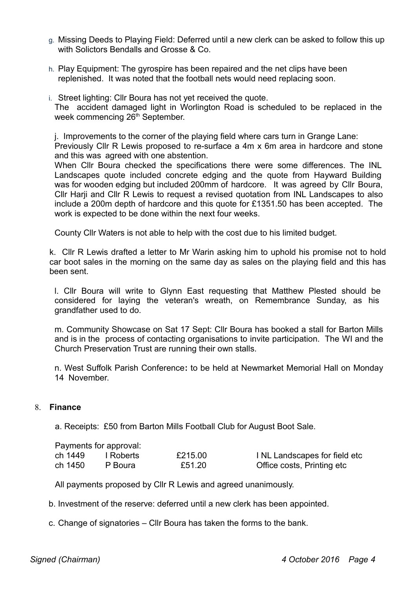- g. Missing Deeds to Playing Field: Deferred until a new clerk can be asked to follow this up with Solictors Bendalls and Grosse & Co.
- h. Play Equipment: The gyrospire has been repaired and the net clips have been replenished. It was noted that the football nets would need replacing soon.
- i. Street lighting: Cllr Boura has not yet received the quote.

The accident damaged light in Worlington Road is scheduled to be replaced in the week commencing 26<sup>th</sup> September.

j. Improvements to the corner of the playing field where cars turn in Grange Lane: Previously Cllr R Lewis proposed to re-surface a 4m x 6m area in hardcore and stone and this was agreed with one abstention.

When Cllr Boura checked the specifications there were some differences. The INL Landscapes quote included concrete edging and the quote from Hayward Building was for wooden edging but included 200mm of hardcore. It was agreed by Cllr Boura, Cllr Harji and Cllr R Lewis to request a revised quotation from INL Landscapes to also include a 200m depth of hardcore and this quote for £1351.50 has been accepted. The work is expected to be done within the next four weeks.

County Cllr Waters is not able to help with the cost due to his limited budget.

k.Cllr R Lewis drafted a letter to Mr Warin asking him to uphold his promise not to hold car boot sales in the morning on the same day as sales on the playing field and this has been sent.

l. Cllr Boura will write to Glynn East requesting that Matthew Plested should be considered for laying the veteran's wreath, on Remembrance Sunday, as his grandfather used to do.

m. Community Showcase on Sat 17 Sept: Cllr Boura has booked a stall for Barton Mills and is in the process of contacting organisations to invite participation. The WI and the Church Preservation Trust are running their own stalls.

n. West Suffolk Parish Conference**:** to be held at Newmarket Memorial Hall on Monday 14 November.

#### 8. **Finance**

a. Receipts: £50 from Barton Mills Football Club for August Boot Sale.

|         | Payments for approval: |         |                               |
|---------|------------------------|---------|-------------------------------|
| ch 1449 | I Roberts              | £215.00 | I NL Landscapes for field etc |
| ch 1450 | P Boura                | £51.20  | Office costs, Printing etc    |

All payments proposed by Cllr R Lewis and agreed unanimously.

- b. Investment of the reserve: deferred until a new clerk has been appointed.
- c. Change of signatories Cllr Boura has taken the forms to the bank.